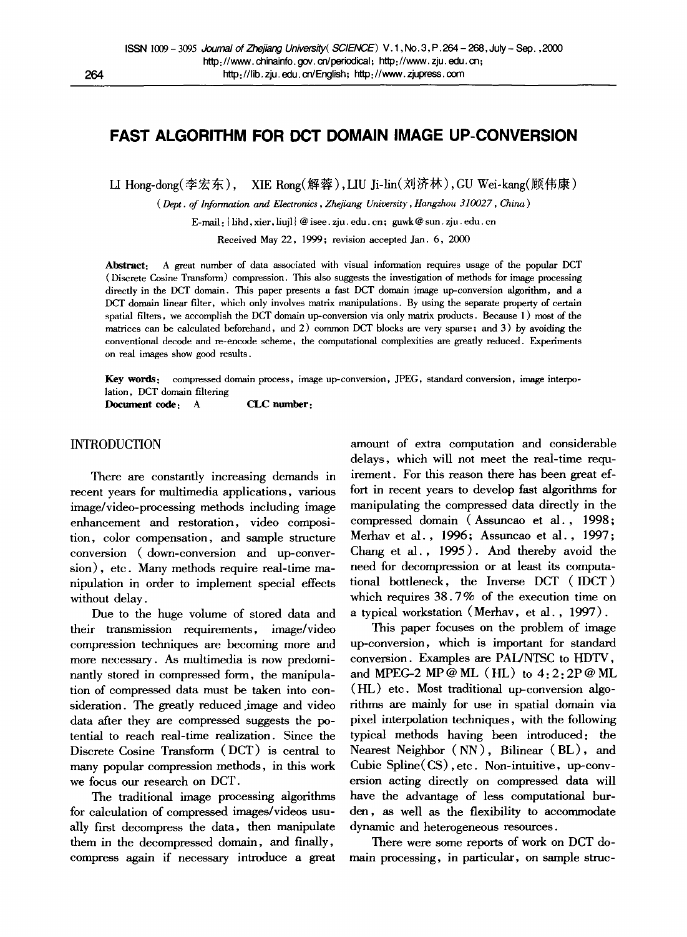# **FAST ALGORITHM FOR DCT DOMAIN IMAGE UP-CONVERSION**

LI Hong-dong(李宏东), XIE Rong(解蓉), LIU Ji-lin(刘济林), GU Wei-kang(顾伟康)

*( Dept. of Information and Electronics, Zhefiang University, Hangzlum 310027, China )* 

E-mail: ihd, xier, hujl @ isee. zju. edu. cn; guwk @ sun. zju. edu. cn

Received May 22, 1999; revision accepted Jan. 6, 2000

Abstract: A great number of data associated with visual information requires usage of the popular DCT ( Discrete Cosine Transform) compression. This also suggests the investigation of methods for image processing directly in the DCT domain. This paper presents a fast DCT domain image up-conversion algorithm, and a DCT domain linear filter, which only involves matrix manipulations. By using the separate property of certain spatial filters, we accomplish the DCT domain up-conversion via only matrix products. Because 1) most of the matrices can be calculated beforehand, and 2) common DCT blocks are very sparse; and 3) by avoiding the conventional decode and re-encode scheme, the computational complexities are greatly reduced. Experiments on real images show good results.

Key words: compressed domain process, image up-conversion, JPEG, standard conversion, image interpolation, DCT domain filtering

**Document code:** A **CLC number:** 

# INTRODUCTION

There are constantly increasing demands in recent years for multimedia applications, various image/video-processing methods including image enhancement and restoration, video composition, color compensation, and sample structure conversion (down-conversion and up-conversion), etc. Many methods require real-time manipulation in order to implement special effects without delay.

Due to the huge volume of stored data and their transmission requirements, image/video compression techniques are becoming more and more necessary. As multimedia is now predominantly stored in compressed form, the manipulation of compressed data must be taken into consideration. The greatly reduced image and video data after they are compressed suggests the potential to reach real-time realization. Since the Discrete Cosine Transform (DCT) is central to many popular compression methods, in this work we focus our research on DCT.

The traditional image processing algorithms for calculation of compressed images/videos usually first decompress the data, then manipulate them in the decompressed domain, and finally, compress again if necessary introduce a great

amount of extra computation and considerable delays, which will not meet the real-time requirement. For this reason there has been great effort in recent years to develop fast algorithms for manipulating the compressed data directly in the compressed domain (Assuncao et al., 1998; Merhav et al., 1996; Assuncao et al., 1997 ; Chang et al., 1995 ). And thereby avoid the need for decompression or at least its computational bottleneck, the Inverse DCT (IDCT) which requires 38.7% of the execution time on a typical workstation (Merhav, et al., 1997).

This paper focuses on the problem of image up-conversion, which is important for standard conversion. Examples are PAL/NTSC to HDTV, and MPEG-2 MP @ ML  $(HL)$  to  $4:2:2P$  @ ML (HL) etc. Most traditional up-conversion algorithms are mainly for use in spatial domain via pixel interpolation techniques, with the following typical methods having been introduced: the Nearest Neighbor ( NN ), Bilinear (BL), and Cubic Spline(CS), etc. Non-intuitive, up-conversion acting directly on compressed data will have the advantage of less computational burden, as well as the flexibility to accommodate dynamic and heterogeneous resources.

There were some reports of work on DCT domain processing, in particular, on sample struc-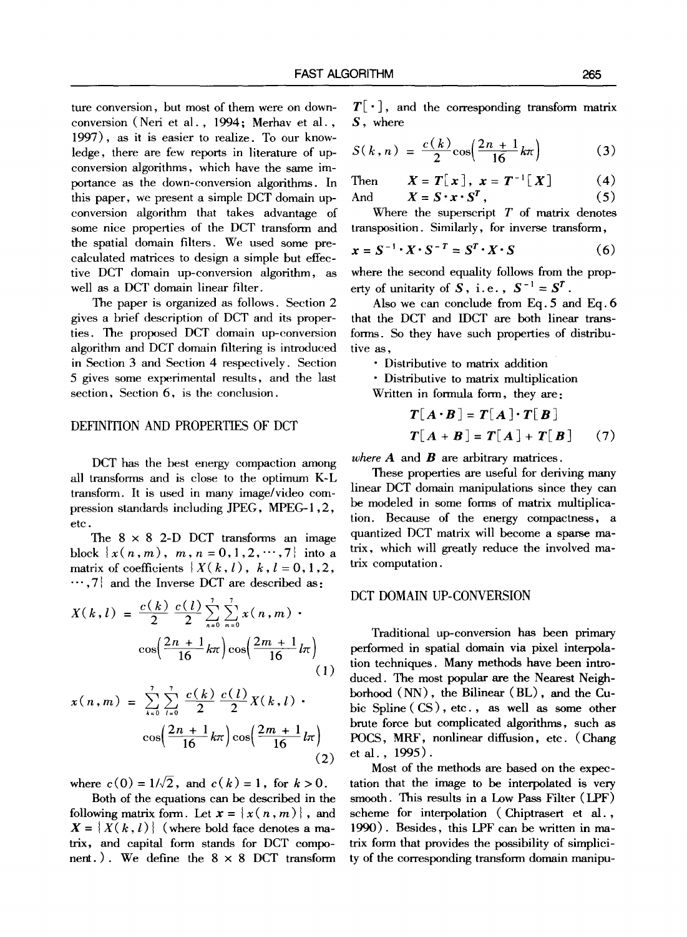ture conversion, but most of them were on downconversion (Neri et al., 1994; Merhav et al., 1997), as it is easier to realize. To our knowledge, there are few reports in literature of upconversion algorithms, which have the same importance as the down-conversion algorithms. In this paper, we present a simple DCT domain upconversion algorithm that takes advantage of some nice properties of the DCT transform and the spatial domain filters. We used some precalculated matrices to design a simple but effective DCT domain up-conversion algorithm, as well as a DCT domain linear filter.

The paper is organized as follows. Section 2 gives a brief description of DCT and its properties. The proposed DCT domain up-conversion algorithm and DCT domain filtering is introduced in Section 3 and Section 4 respectively. Section 5 gives some experimental results, and the last section, Section 6, is the conclusion.

# DEFINITION AND PROPERTIES OF DCT

DCT has the best energy compaction among all transforms and is close to the optimum K-L transform. It is used in many image/video compression standards including JPEG, MPEG-1,2, etc.

The  $8 \times 8$  2-D DCT transforms an image block  $\{x(n,m), m, n=0,1,2,\dots,7\}$  into a matrix of coefficients  $\{ X(k, l), k, l = 0, 1, 2, \ldots \}$  $\cdots$ ,7} and the Inverse DCT are described as:

$$
X(k, l) = \frac{c(k)}{2} \frac{c(l)}{2} \sum_{n=0}^{l} \sum_{m=0}^{l} x(n, m)
$$

$$
\cos\left(\frac{2n+1}{16}k\pi\right) \cos\left(\frac{2m+1}{16}l\pi\right)
$$
(1)

$$
x(n, m) = \sum_{k=0}^{7} \sum_{l=0}^{7} \frac{c(k)}{2} \frac{c(l)}{2} X(k, l) \cdot \cos\left(\frac{2n+1}{16}k\pi\right) \cos\left(\frac{2m+1}{16}l\pi\right)
$$
\n(2)

where  $c(0) = 1/\sqrt{2}$ , and  $c(k) = 1$ , for  $k > 0$ .

Both of the equations can be described in the following matrix form. Let  $\mathbf{x} = \{x(n, m)\}\,$ , and  $X = \{X(k, l)\}\$  (where bold face denotes a matrix, and capital form stands for DCT component.). We define the  $8 \times 8$  DCT transform

 $T[\cdot]$ , and the corresponding transform matrix S, where

$$
S(k, n) = \frac{c(k)}{2} \cos \left( \frac{2n+1}{16} k \pi \right)
$$
 (3)

Then 
$$
X = T[x]
$$
,  $x = T^{-1}[X]$  (4)  
And  $X = S \cdot x \cdot S^{T}$ , (5)

Where the superscript  $T$  of matrix denotes transposition. Similarly, for inverse transform,

$$
x = S^{-1} \cdot X \cdot S^{-T} = S^T \cdot X \cdot S \tag{6}
$$

where the second equality follows from the property of unitarity of S, i.e.,  $S^{-1} = S^T$ .

Also we can conclude from Eq. 5 and Eq. 6 that the DCT and IDCT are beth linear transforms. So they have such properties of distributive as,

• Distributive to matrix addition

• Distributive to matrix multiplication

Written in formula form, they are:

$$
T[A \cdot B] = T[A] \cdot T[B]
$$
  

$$
T[A + B] = T[A] + T[B]
$$
 (7)

*where*  $A$  and  $B$  are arbitrary matrices.

These properties are useful for deriving many linear DCT domain manipulations since they can be modeled in some forms of matrix multiplication. Because of the energy compactness, a quantized DCT matrix will become a sparse matrix, which will greatly reduce the involved matrix computation.

#### DCT DOMAIN UP-CONVERSION

Traditional up-conversion has been primary performed in spatial domain via pixel interpolation techniques. Many methods have been introduced. The most popular are the Nearest Neighborhood (NN), the Bilinear (BL), and the Cubic Spline (CS), etc., as well as some other brute force but complicated algorithms, such as POCS, MRF, nonlinear diffusion, etc. (Chang etal., 1995).

Most of the methods are based on the expectation that the image to be interpolated is very smooth. This results in a Low Pass Filter (LPF) scheme for interpolation (Chiptrasert et al., 1990). Besides, this LPF can be written in matrix form that provides the possibility of simplicity of the corresponding transform domain manipu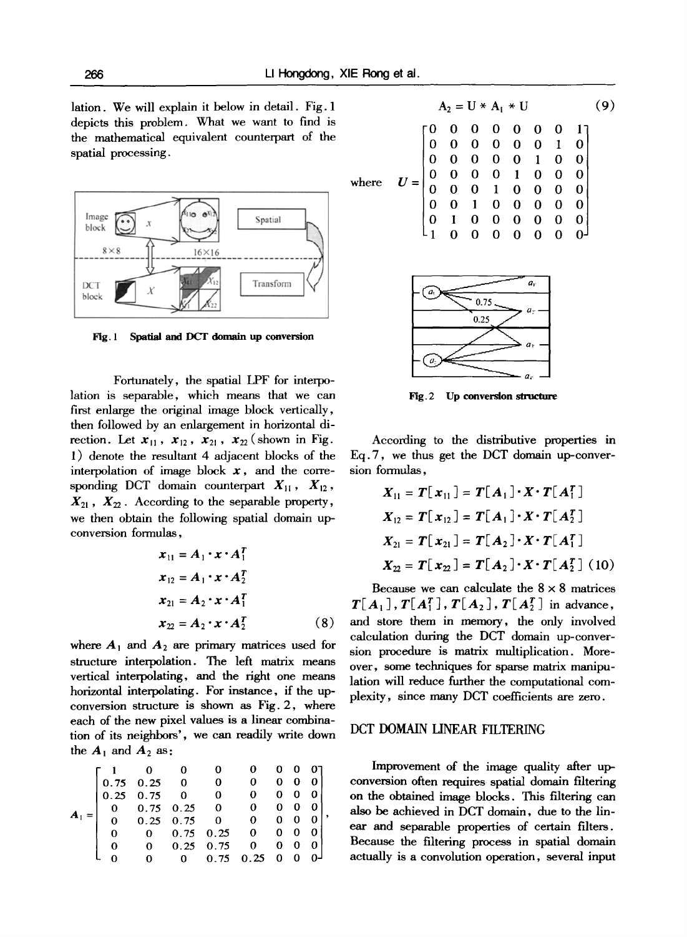lation. We will explain it below in detail. Fig. 1 depicts this problem. What we want to find is the mathematical equivalent counterpart of the spatial processing.



**Fig. 1 Spatial and DCT domain up conversion** 

Fortunately, the spatial LPF for interpolation is separable, which means that we can first enlarge the original image block vertically, then followed by an enlargement in horizontal direction. Let  $x_{11}$ ,  $x_{12}$ ,  $x_{21}$ ,  $x_{22}$  (shown in Fig. 1) denote the resultant 4 adjacent blocks of the interpolation of image block  $x$ , and the corresponding DCT domain counterpart  $X_{11}$ ,  $X_{12}$ ,  $X_{21}$ ,  $X_{22}$ . According to the separable property, we then obtain the following spatial domain upconversion formulas,

$$
x_{11} = A_1 \cdot x \cdot A_1^T
$$
  
\n
$$
x_{12} = A_1 \cdot x \cdot A_2^T
$$
  
\n
$$
x_{21} = A_2 \cdot x \cdot A_1^T
$$
  
\n
$$
x_{22} = A_2 \cdot x \cdot A_2^T
$$
 (8)

where  $A_1$  and  $A_2$  are primary matrices used for structure interpolation. The left matrix means vertical interpolating, and the fight one means horizontal interpolating. For instance, if the upconversion structure is shown as Fig. 2, where each of the new pixel values is a linear combination of its neighbors', we can readily write down the  $A_1$  and  $A_2$  as:

|  | 0.75 | $0.25\ 0$                      | $\mathbf{0}$                   | 0            | 0 |   |  |
|--|------|--------------------------------|--------------------------------|--------------|---|---|--|
|  |      | $0.25\quad 0.75\quad 0\quad 0$ |                                | 0            | 0 | 0 |  |
|  | 0.   |                                | $0.75$ $0.25$ 0<br>0.25 0.75 0 | $\mathbf{0}$ | 0 |   |  |
|  |      |                                |                                | 0            | 0 |   |  |
|  | 0    | $\mathbf{0}$                   | $0.75 \quad 0.25$              | $\mathbf{0}$ | 0 |   |  |
|  |      | 0                              | $0.25 \quad 0.75$              | 0.           | 0 | 0 |  |
|  |      |                                | 0.75                           | 0.25         | 0 |   |  |

$$
A_2 = U * A_1 * U
$$
(9)  

$$
U = \begin{bmatrix} 0 & 0 & 0 & 0 & 0 & 0 & 1 \\ 0 & 0 & 0 & 0 & 0 & 1 & 0 \\ 0 & 0 & 0 & 0 & 0 & 1 & 0 & 0 \\ 0 & 0 & 0 & 0 & 1 & 0 & 0 & 0 \\ 0 & 0 & 0 & 1 & 0 & 0 & 0 & 0 \\ 0 & 0 & 1 & 0 & 0 & 0 & 0 & 0 \\ 0 & 1 & 0 & 0 & 0 & 0 & 0 & 0 \\ 1 & 0 & 0 & 0 & 0 & 0 & 0 & 0 \end{bmatrix}
$$



**Fig. 2 Up conversion structure** 

According to the distributive properties in Eq. 7, we thus get the DCT domain up-conversion formulas,

$$
X_{11} = T[x_{11}] = T[A_1] \cdot X \cdot T[A_1^T]
$$
  
\n
$$
X_{12} = T[x_{12}] = T[A_1] \cdot X \cdot T[A_2^T]
$$
  
\n
$$
X_{21} = T[x_{21}] = T[A_2] \cdot X \cdot T[A_1^T]
$$
  
\n
$$
X_{22} = T[x_{22}] = T[A_2] \cdot X \cdot T[A_2^T]
$$
 (10)

Because we can calculate the  $8 \times 8$  matrices  $T[A_1], T[A_1^T], T[A_2], T[A_2^T]$  in advance, and store them in memory, the only involved calculation during the DCT domain up-conversion procedure is matrix multiplication. Moreover, some techniques for sparse matrix manipulation will reduce further the computational complexity, since many DCT coefficients are zero.

## DCT DOMAIN LINEAR FILTERING

Improvement of the image quality after upconversion often requires spatial domain filtering **on** the obtained image blocks. This filtering can also be achieved in DCT domain, due to the linear and separable properties of certain filters. Because the filtering process in spatial domain actually is a convolution operation, several input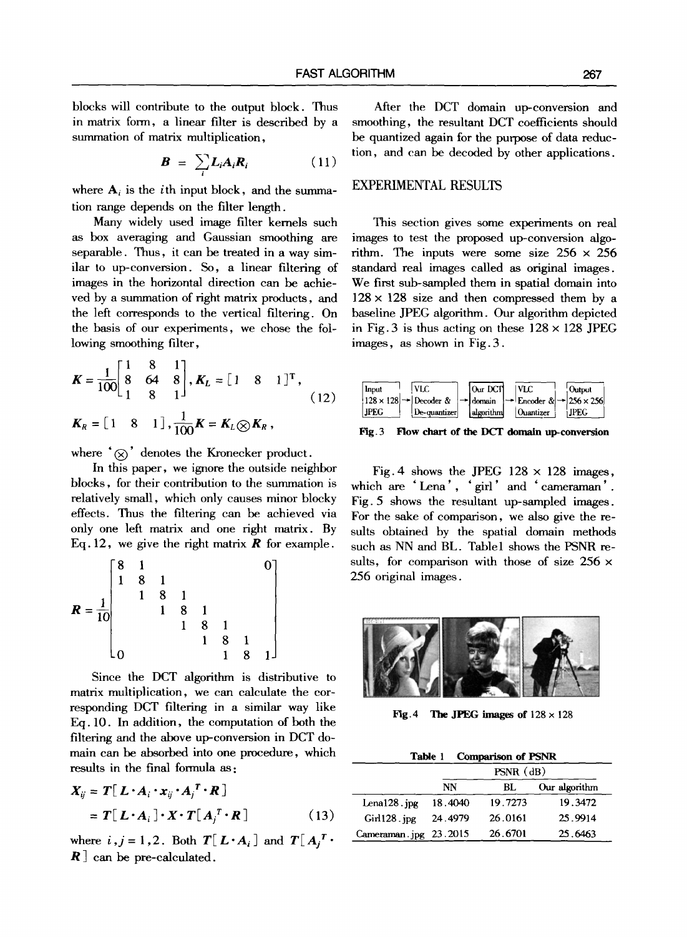blocks will contribute to the output block. Thus in matrix form, a linear filter is described by a summation of matrix multiplication.

$$
\boldsymbol{B} = \sum_{i} L_i A_i R_i \qquad (11)
$$

where  $A_i$  is the *i*th input block, and the summation range depends on the filter length.

Many widely used image filter kernels such as box averaging and Gaussian smoothing are separable. Thus, it can be treated in a way similar to up-conversion. So, a linear filtering of images in the horizontal direction can be achieved by a summation of right matrix products, and the left corresponds to the vertical filtering. On the basis of our experiments, we chose the following smoothing filter,

$$
\mathbf{K} = \frac{1}{100} \begin{bmatrix} 1 & 8 & 1 \\ 8 & 64 & 8 \\ 1 & 8 & 1 \end{bmatrix}, \mathbf{K}_L = \begin{bmatrix} 1 & 8 & 1 \end{bmatrix}^{\mathrm{T}},
$$
  

$$
\mathbf{K}_R = \begin{bmatrix} 1 & 8 & 1 \end{bmatrix}, \frac{1}{100} \mathbf{K} = \mathbf{K}_L \otimes \mathbf{K}_R,
$$
 (12)

where  $(\otimes)$  denotes the Kronecker product.

In this paper, we ignore the outside neighbor blocks, for their contribution to the summation is relatively small, which only causes minor blocky effects. Thus the filtering can be. achieved via only one left matrix and one right matrix. By Eq. 12, we give the right matrix  $\bm{R}$  for example.

$$
R = \frac{1}{10} \begin{bmatrix} 8 & 1 & & & & & & 0 \\ 1 & 8 & 1 & & & & & & \\ & 1 & 8 & 1 & & & & & \\ & & 1 & 8 & 1 & & & & \\ & & & 1 & 8 & 1 & & & \\ & & & & 1 & 8 & 1 & & \\ & & & & & 1 & 8 & 1 & \\ 0 & & & & & 1 & 8 & 1 \end{bmatrix}
$$

Since the DCT algorithm is distributive to matrix multiplication, we can calculate the corresponding DCT filtering in a similar way like Eq. 10. In addition, the computation of both the filtering and the above up-conversion in DCT domain can be absorbed into one procedure, which results in the final formula as:

$$
X_{ij} = T[L \cdot A_i \cdot x_{ij} \cdot A_j^T \cdot R]
$$
  
=  $T[L \cdot A_i] \cdot X \cdot T[A_j^T \cdot R]$  (13)

where  $i, j = 1, 2$ . Both  $T[L \cdot A_i]$  and  $T[A_i]$  $R$  can be pre-calculated.

After the DCT domain up-conversion and smoothing, the resultant DCT coefficients should be quantized again for the purpose of data reduction, and can be decoded by other applications.

#### EXPERIMENTAL RESULTS

This section gives some experiments on real images to test the proposed up-conversion algorithm. The inputs were some size  $256 \times 256$ standard real images called as original images. We first sub-sampled them in spatial domain into  $128 \times 128$  size and then compressed them by a baseline JPEG algorithm. Our algorithm depicted in Fig. 3 is thus acting on these  $128 \times 128$  JPEG images, as shown in Fig. 3.



Fig. 3 Flow chart of the DCT domain up-conversion

Fig. 4 shows the JPEG  $128 \times 128$  images, which are 'Lena', 'girl' and 'cameraman'. Fig. 5 shows the resultant up-sampled images. For the sake of comparison, we also give the results obtained by the spatial domain methods such as NN and BL. Table1 shows the PSNR results, for comparison with those of size  $256 \times$ 256 original images.



Fig. 4 The JPEG images of  $128 \times 128$ 

|  | Table 1 | <b>Comparison of PSNR</b> |  |  |
|--|---------|---------------------------|--|--|
|--|---------|---------------------------|--|--|

|                       | $PSNR$ ( $dB$ ) |         |               |  |  |
|-----------------------|-----------------|---------|---------------|--|--|
|                       | NN              | BL      | Our algorithm |  |  |
| Lena128.jpg           | 18.4040         | 19.7273 | 19.3472       |  |  |
| $GII128$ . ipg        | 24.4979         | 26.0161 | 25.9914       |  |  |
| Cameraman.jpg 23.2015 |                 | 26.6701 | 25.6463       |  |  |